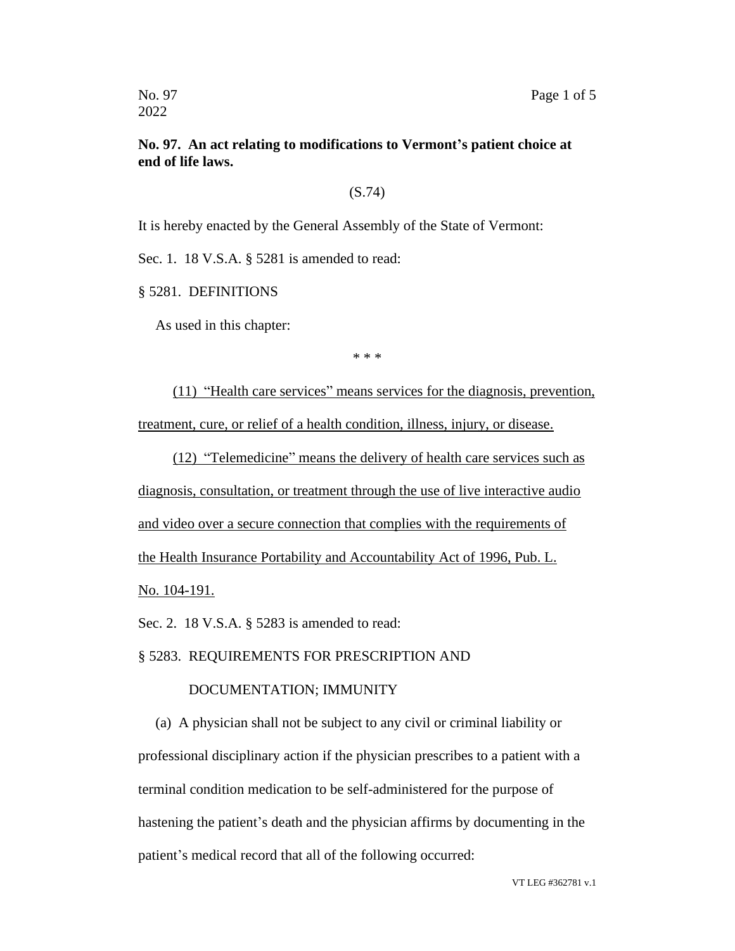## **No. 97. An act relating to modifications to Vermont's patient choice at end of life laws.**

#### (S.74)

It is hereby enacted by the General Assembly of the State of Vermont:

Sec. 1. 18 V.S.A. § 5281 is amended to read:

§ 5281. DEFINITIONS

As used in this chapter:

\* \* \*

(11) "Health care services" means services for the diagnosis, prevention, treatment, cure, or relief of a health condition, illness, injury, or disease.

(12) "Telemedicine" means the delivery of health care services such as diagnosis, consultation, or treatment through the use of live interactive audio and video over a secure connection that complies with the requirements of the Health Insurance Portability and Accountability Act of 1996, Pub. L.

No. 104-191.

Sec. 2. 18 V.S.A. § 5283 is amended to read:

### § 5283. REQUIREMENTS FOR PRESCRIPTION AND

### DOCUMENTATION; IMMUNITY

(a) A physician shall not be subject to any civil or criminal liability or professional disciplinary action if the physician prescribes to a patient with a terminal condition medication to be self-administered for the purpose of hastening the patient's death and the physician affirms by documenting in the patient's medical record that all of the following occurred: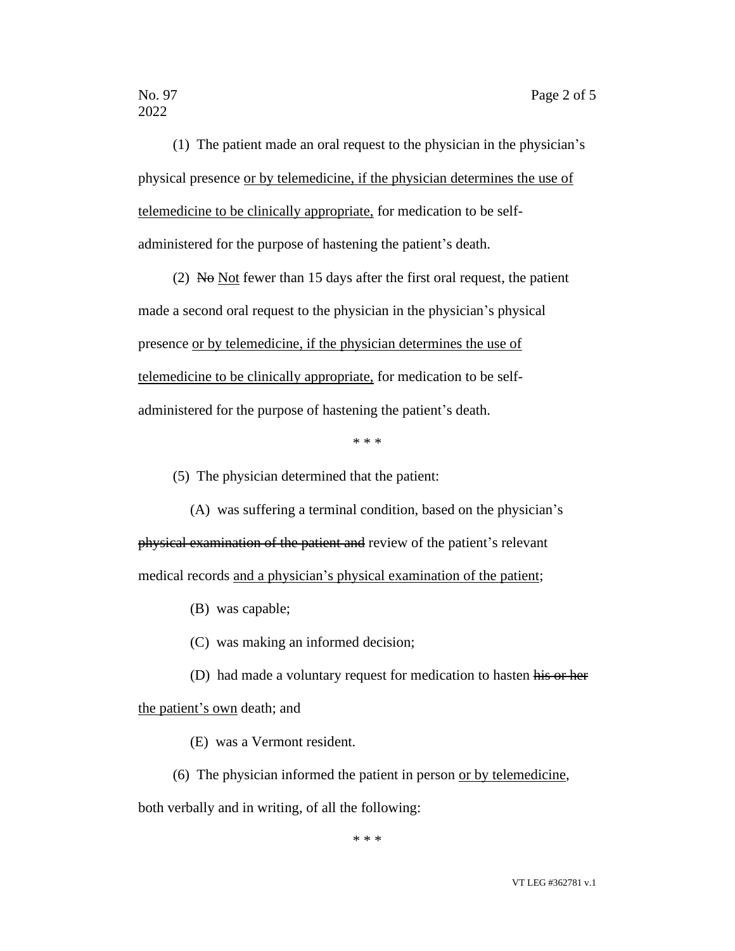2022

(1) The patient made an oral request to the physician in the physician's physical presence or by telemedicine, if the physician determines the use of telemedicine to be clinically appropriate, for medication to be selfadministered for the purpose of hastening the patient's death.

(2) No Not fewer than 15 days after the first oral request, the patient made a second oral request to the physician in the physician's physical presence or by telemedicine, if the physician determines the use of telemedicine to be clinically appropriate, for medication to be selfadministered for the purpose of hastening the patient's death.

\* \* \*

(5) The physician determined that the patient:

(A) was suffering a terminal condition, based on the physician's physical examination of the patient and review of the patient's relevant medical records and a physician's physical examination of the patient;

(B) was capable;

(C) was making an informed decision;

(D) had made a voluntary request for medication to hasten his or her

the patient's own death; and

(E) was a Vermont resident.

(6) The physician informed the patient in person or by telemedicine,

both verbally and in writing, of all the following:

\* \* \*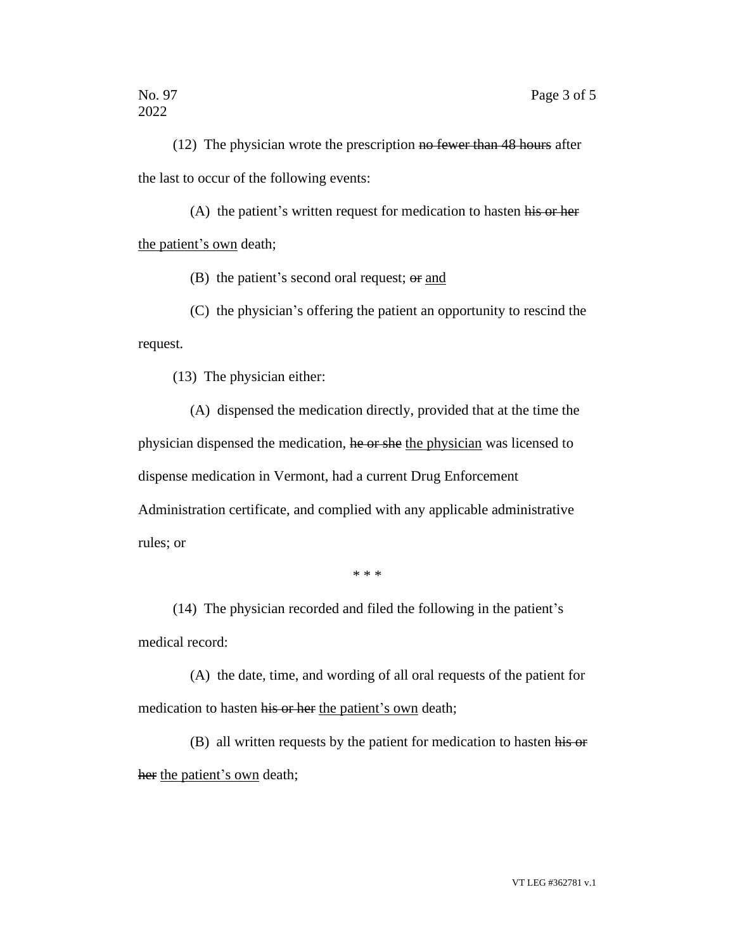(12) The physician wrote the prescription no fewer than 48 hours after the last to occur of the following events:

(A) the patient's written request for medication to hasten his or her the patient's own death;

(B) the patient's second oral request;  $\Theta$  and

(C) the physician's offering the patient an opportunity to rescind the request.

(13) The physician either:

(A) dispensed the medication directly, provided that at the time the physician dispensed the medication, he or she the physician was licensed to dispense medication in Vermont, had a current Drug Enforcement Administration certificate, and complied with any applicable administrative rules; or

\* \* \*

(14) The physician recorded and filed the following in the patient's medical record:

(A) the date, time, and wording of all oral requests of the patient for medication to hasten his or her the patient's own death;

(B) all written requests by the patient for medication to hasten his or her the patient's own death;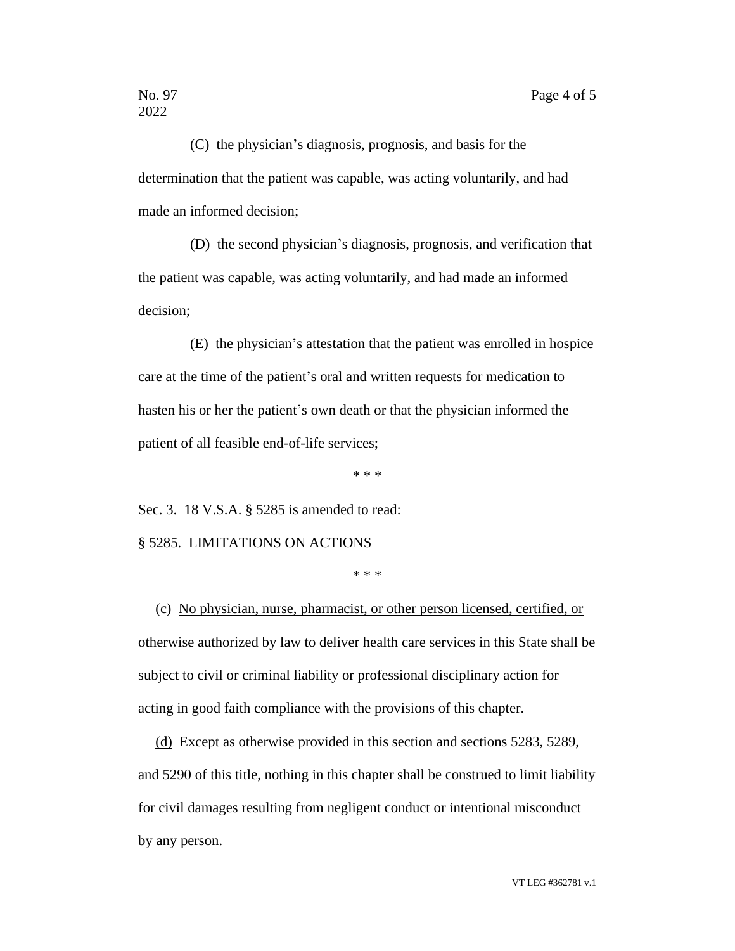(C) the physician's diagnosis, prognosis, and basis for the determination that the patient was capable, was acting voluntarily, and had made an informed decision;

(D) the second physician's diagnosis, prognosis, and verification that the patient was capable, was acting voluntarily, and had made an informed decision;

(E) the physician's attestation that the patient was enrolled in hospice care at the time of the patient's oral and written requests for medication to hasten his or her the patient's own death or that the physician informed the patient of all feasible end-of-life services;

\* \* \*

Sec. 3. 18 V.S.A. § 5285 is amended to read:

§ 5285. LIMITATIONS ON ACTIONS

\* \* \*

(c) No physician, nurse, pharmacist, or other person licensed, certified, or otherwise authorized by law to deliver health care services in this State shall be subject to civil or criminal liability or professional disciplinary action for acting in good faith compliance with the provisions of this chapter.

(d) Except as otherwise provided in this section and sections 5283, 5289, and 5290 of this title, nothing in this chapter shall be construed to limit liability for civil damages resulting from negligent conduct or intentional misconduct by any person.